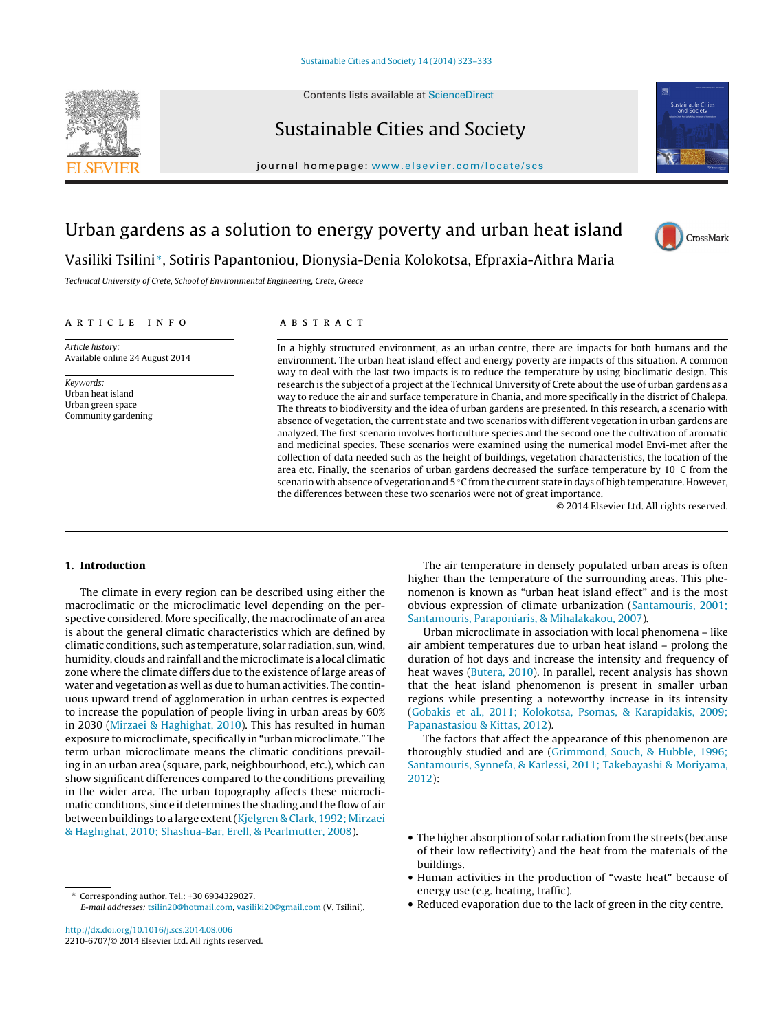

Contents lists available at [ScienceDirect](http://www.sciencedirect.com/science/journal/22106707)

# Sustainable Cities and Society



journal homepage: [www.elsevier.com/locate/scs](http://www.elsevier.com/locate/scs)

# Urban gardens as a solution to energy poverty and urban heat island



Vasiliki Tsilini <sup>∗</sup>, Sotiris Papantoniou, Dionysia-Denia Kolokotsa, Efpraxia-Aithra Maria

Technical University of Crete, School of Environmental Engineering, Crete, Greece

### a r t i c l e i n f o

Article history: Available online 24 August 2014

Keywords: Urban heat island Urban green space Community gardening

# A B S T R A C T

In a highly structured environment, as an urban centre, there are impacts for both humans and the environment. The urban heat island effect and energy poverty are impacts of this situation. A common way to deal with the last two impacts is to reduce the temperature by using bioclimatic design. This research is the subject of a project at the Technical University of Crete about the use of urban gardens as a way to reduce the air and surface temperature in Chania, and more specifically in the district of Chalepa. The threats to biodiversity and the idea of urban gardens are presented. In this research, a scenario with absence of vegetation, the current state and two scenarios with different vegetation in urban gardens are analyzed. The first scenario involves horticulture species and the second one the cultivation of aromatic and medicinal species. These scenarios were examined using the numerical model Envi-met after the collection of data needed such as the height of buildings, vegetation characteristics, the location of the area etc. Finally, the scenarios of urban gardens decreased the surface temperature by  $10 °C$  from the scenario with absence of vegetation and 5 ◦C from the current state in days of high temperature. However, the differences between these two scenarios were not of great importance.

© 2014 Elsevier Ltd. All rights reserved.

### **1. Introduction**

The climate in every region can be described using either the macroclimatic or the microclimatic level depending on the perspective considered. More specifically, the macroclimate of an area is about the general climatic characteristics which are defined by climatic conditions, such as temperature, solar radiation, sun, wind, humidity, clouds and rainfall and the microclimate is a local climatic zone where the climate differs due to the existence of large areas of water and vegetation as well as due to human activities. The continuous upward trend of agglomeration in urban centres is expected to increase the population of people living in urban areas by 60% in 2030 ([Mirzaei](#page--1-0) [&](#page--1-0) [Haghighat,](#page--1-0) [2010\).](#page--1-0) This has resulted in human exposure to microclimate, specifically in "urban microclimate." The term urban microclimate means the climatic conditions prevailing in an urban area (square, park, neighbourhood, etc.), which can show significant differences compared to the conditions prevailing in the wider area. The urban topography affects these microclimatic conditions, since it determines the shading and the flow of air between buildings to a large extent[\(Kjelgren](#page--1-0) [&](#page--1-0) [Clark,](#page--1-0) [1992;](#page--1-0) [Mirzaei](#page--1-0) [&](#page--1-0) [Haghighat,](#page--1-0) [2010;](#page--1-0) [Shashua-Bar,](#page--1-0) [Erell,](#page--1-0) [&](#page--1-0) [Pearlmutter,](#page--1-0) [2008\).](#page--1-0)

∗ Corresponding author. Tel.: +30 6934329027. E-mail addresses: [tsilin20@hotmail.com](mailto:tsilin20@hotmail.com), [vasiliki20@gmail.com](mailto:vasiliki20@gmail.com) (V. Tsilini).

[http://dx.doi.org/10.1016/j.scs.2014.08.006](dx.doi.org/10.1016/j.scs.2014.08.006) 2210-6707/© 2014 Elsevier Ltd. All rights reserved.

The air temperature in densely populated urban areas is often higher than the temperature of the surrounding areas. This phenomenon is known as "urban heat island effect" and is the most obvious expression of climate urbanization [\(Santamouris,](#page--1-0) [2001;](#page--1-0) [Santamouris,](#page--1-0) [Paraponiaris,](#page--1-0) [&](#page--1-0) [Mihalakakou,](#page--1-0) [2007\).](#page--1-0)

Urban microclimate in association with local phenomena – like air ambient temperatures due to urban heat island – prolong the duration of hot days and increase the intensity and frequency of heat waves ([Butera,](#page--1-0) [2010\).](#page--1-0) In parallel, recent analysis has shown that the heat island phenomenon is present in smaller urban regions while presenting a noteworthy increase in its intensity [\(Gobakis](#page--1-0) et [al.,](#page--1-0) [2011;](#page--1-0) [Kolokotsa,](#page--1-0) [Psomas,](#page--1-0) [&](#page--1-0) [Karapidakis,](#page--1-0) [2009;](#page--1-0) [Papanastasiou](#page--1-0) [&](#page--1-0) [Kittas,](#page--1-0) [2012\).](#page--1-0)

The factors that affect the appearance of this phenomenon are thoroughly studied and are [\(Grimmond,](#page--1-0) [Souch,](#page--1-0) [&](#page--1-0) [Hubble,](#page--1-0) [1996;](#page--1-0) [Santamouris,](#page--1-0) [Synnefa,](#page--1-0) [&](#page--1-0) [Karlessi,](#page--1-0) [2011;](#page--1-0) [Takebayashi](#page--1-0) [&](#page--1-0) [Moriyama,](#page--1-0) [2012\):](#page--1-0)

- The higher absorption of solar radiation from the streets (because of their low reflectivity) and the heat from the materials of the buildings.
- Human activities in the production of "waste heat" because of energy use (e.g. heating, traffic).
- Reduced evaporation due to the lack of green in the city centre.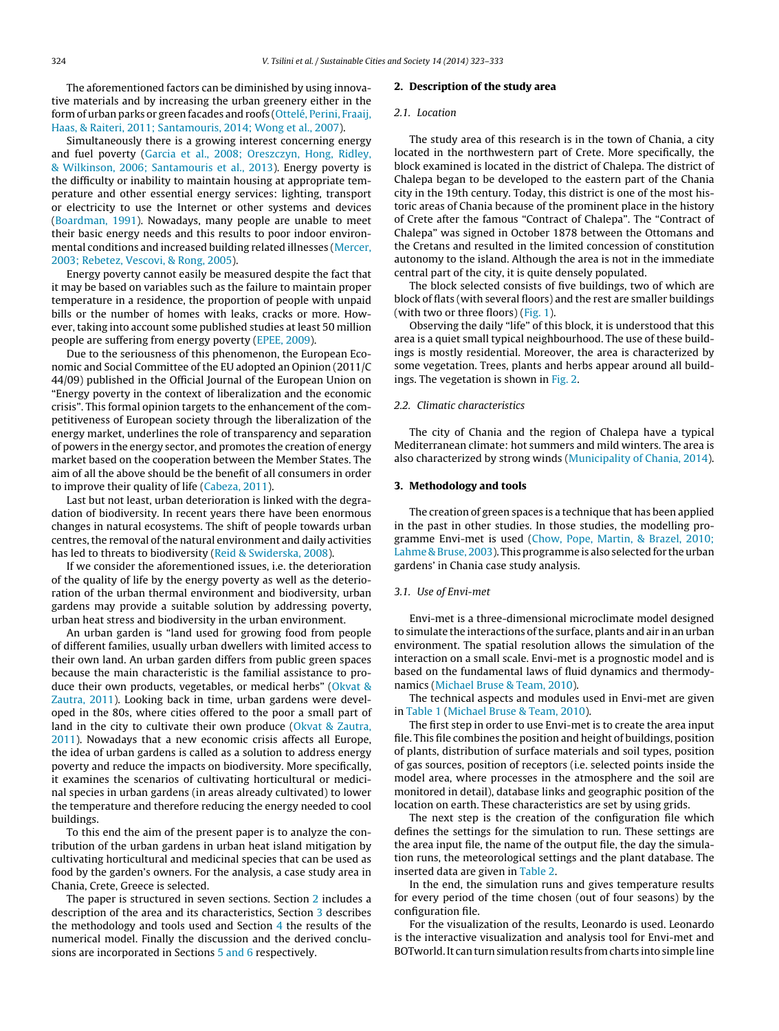The aforementioned factors can be diminished by using innovative materials and by increasing the urban greenery either in the form of urban parks or green facades and roofs [\(Ottelé,](#page--1-0) [Perini,](#page--1-0) [Fraaij,](#page--1-0) [Haas,](#page--1-0) [&](#page--1-0) [Raiteri,](#page--1-0) [2011;](#page--1-0) [Santamouris,](#page--1-0) [2014;](#page--1-0) [Wong](#page--1-0) et [al.,](#page--1-0) [2007\).](#page--1-0)

Simultaneously there is a growing interest concerning energy and fuel poverty [\(Garcia](#page--1-0) et [al.,](#page--1-0) [2008;](#page--1-0) [Oreszczyn,](#page--1-0) [Hong,](#page--1-0) [Ridley,](#page--1-0) [&](#page--1-0) [Wilkinson,](#page--1-0) [2006;](#page--1-0) [Santamouris](#page--1-0) et [al.,](#page--1-0) [2013\).](#page--1-0) Energy poverty is the difficulty or inability to maintain housing at appropriate temperature and other essential energy services: lighting, transport or electricity to use the Internet or other systems and devices ([Boardman,](#page--1-0) [1991\).](#page--1-0) Nowadays, many people are unable to meet their basic energy needs and this results to poor indoor environmental conditions and increased building related illnesses [\(Mercer,](#page--1-0) [2003;](#page--1-0) [Rebetez,](#page--1-0) [Vescovi,](#page--1-0) [&](#page--1-0) [Rong,](#page--1-0) [2005\).](#page--1-0)

Energy poverty cannot easily be measured despite the fact that it may be based on variables such as the failure to maintain proper temperature in a residence, the proportion of people with unpaid bills or the number of homes with leaks, cracks or more. However, taking into account some published studies at least 50 million people are suffering from energy poverty [\(EPEE,](#page--1-0) [2009\).](#page--1-0)

Due to the seriousness of this phenomenon, the European Economic and Social Committee of the EU adopted an Opinion (2011/C 44/09) published in the Official Journal of the European Union on "Energy poverty in the context of liberalization and the economic crisis". This formal opinion targets to the enhancement of the competitiveness of European society through the liberalization of the energy market, underlines the role of transparency and separation of powers in the energy sector, and promotes the creation of energy market based on the cooperation between the Member States. The aim of all the above should be the benefit of all consumers in order to improve their quality of life ([Cabeza,](#page--1-0) [2011\).](#page--1-0)

Last but not least, urban deterioration is linked with the degradation of biodiversity. In recent years there have been enormous changes in natural ecosystems. The shift of people towards urban centres, the removal of the natural environment and daily activities has led to threats to biodiversity [\(Reid](#page--1-0) [&](#page--1-0) [Swiderska,](#page--1-0) [2008\).](#page--1-0)

If we consider the aforementioned issues, i.e. the deterioration of the quality of life by the energy poverty as well as the deterioration of the urban thermal environment and biodiversity, urban gardens may provide a suitable solution by addressing poverty, urban heat stress and biodiversity in the urban environment.

An urban garden is "land used for growing food from people of different families, usually urban dwellers with limited access to their own land. An urban garden differs from public green spaces because the main characteristic is the familial assistance to produce their own products, vegetables, or medical herbs" [\(Okvat](#page--1-0) [&](#page--1-0) [Zautra,](#page--1-0) [2011\).](#page--1-0) Looking back in time, urban gardens were developed in the 80s, where cities offered to the poor a small part of land in the city to cultivate their own produce [\(Okvat](#page--1-0) [&](#page--1-0) [Zautra,](#page--1-0) [2011\).](#page--1-0) Nowadays that a new economic crisis affects all Europe, the idea of urban gardens is called as a solution to address energy poverty and reduce the impacts on biodiversity. More specifically, it examines the scenarios of cultivating horticultural or medicinal species in urban gardens (in areas already cultivated) to lower the temperature and therefore reducing the energy needed to cool buildings.

To this end the aim of the present paper is to analyze the contribution of the urban gardens in urban heat island mitigation by cultivating horticultural and medicinal species that can be used as food by the garden's owners. For the analysis, a case study area in Chania, Crete, Greece is selected.

The paper is structured in seven sections. Section 2 includes a description of the area and its characteristics, Section 3 describes the methodology and tools used and Section [4](#page--1-0) the results of the numerical model. Finally the discussion and the derived conclusions are incorporated in Sections [5](#page--1-0) [and](#page--1-0) [6](#page--1-0) respectively.

#### **2. Description of the study area**

#### 2.1. Location

The study area of this research is in the town of Chania, a city located in the northwestern part of Crete. More specifically, the block examined is located in the district of Chalepa. The district of Chalepa began to be developed to the eastern part of the Chania city in the 19th century. Today, this district is one of the most historic areas of Chania because of the prominent place in the history of Crete after the famous "Contract of Chalepa". The "Contract of Chalepa" was signed in October 1878 between the Ottomans and the Cretans and resulted in the limited concession of constitution autonomy to the island. Although the area is not in the immediate central part of the city, it is quite densely populated.

The block selected consists of five buildings, two of which are block of flats (with several floors) and the rest are smaller buildings (with two or three floors) ([Fig.](#page--1-0) 1).

Observing the daily "life" of this block, it is understood that this area is a quiet small typical neighbourhood. The use of these buildings is mostly residential. Moreover, the area is characterized by some vegetation. Trees, plants and herbs appear around all buildings. The vegetation is shown in [Fig.](#page--1-0) 2.

## 2.2. Climatic characteristics

The city of Chania and the region of Chalepa have a typical Mediterranean climate: hot summers and mild winters. The area is also characterized by strong winds ([Municipality](#page--1-0) [of](#page--1-0) [Chania,](#page--1-0) [2014\).](#page--1-0)

### **3. Methodology and tools**

The creation of green spaces is a technique that has been applied in the past in other studies. In those studies, the modelling programme Envi-met is used ([Chow,](#page--1-0) [Pope,](#page--1-0) [Martin,](#page--1-0) [&](#page--1-0) [Brazel,](#page--1-0) [2010;](#page--1-0) [Lahme](#page--1-0) [&](#page--1-0) [Bruse,](#page--1-0) [2003\).](#page--1-0) This programme is also selected for the urban gardens' in Chania case study analysis.

#### 3.1. Use of Envi-met

Envi-met is a three-dimensional microclimate model designed to simulate the interactions of the surface, plants and air in an urban environment. The spatial resolution allows the simulation of the interaction on a small scale. Envi-met is a prognostic model and is based on the fundamental laws of fluid dynamics and thermodynamics ([Michael](#page--1-0) [Bruse](#page--1-0) [&](#page--1-0) [Team,](#page--1-0) [2010\).](#page--1-0)

The technical aspects and modules used in Envi-met are given in [Table](#page--1-0) 1 ([Michael](#page--1-0) [Bruse](#page--1-0) [&](#page--1-0) [Team,](#page--1-0) [2010\).](#page--1-0)

The first step in order to use Envi-met is to create the area input file. This file combines the position and height of buildings, position of plants, distribution of surface materials and soil types, position of gas sources, position of receptors (i.e. selected points inside the model area, where processes in the atmosphere and the soil are monitored in detail), database links and geographic position of the location on earth. These characteristics are set by using grids.

The next step is the creation of the configuration file which defines the settings for the simulation to run. These settings are the area input file, the name of the output file, the day the simulation runs, the meteorological settings and the plant database. The inserted data are given in [Table](#page--1-0) 2.

In the end, the simulation runs and gives temperature results for every period of the time chosen (out of four seasons) by the configuration file.

For the visualization of the results, Leonardo is used. Leonardo is the interactive visualization and analysis tool for Envi-met and BOTworld.It canturnsimulationresults fromcharts into simple line